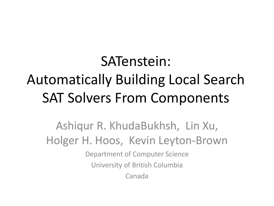## SATenstein: Automatically Building Local Search SAT Solvers From Components

Ashiqur R. KhudaBukhsh, Lin Xu, Holger H. Hoos, Kevin Leyton-Brown

> Department of Computer Science University of British Columbia

> > Canada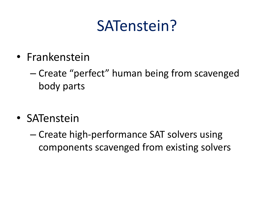## SATenstein?

- Frankenstein
	- Create "perfect" human being from scavenged body parts
- SATenstein
	- Create high-performance SAT solvers using components scavenged from existing solvers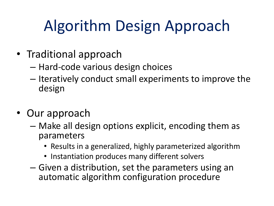# Algorithm Design Approach

- Traditional approach
	- Hard-code various design choices
	- Iteratively conduct small experiments to improve the design
- Our approach
	- Make all design options explicit, encoding them as parameters
		- Results in a generalized, highly parameterized algorithm
		- Instantiation produces many different solvers
	- Given a distribution, set the parameters using an automatic algorithm configuration procedure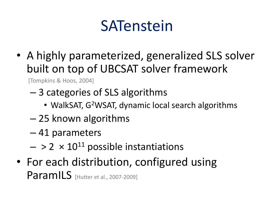## **SATenstein**

• A highly parameterized, generalized SLS solver built on top of UBCSAT solver framework

[Tompkins & Hoos, 2004]

- 3 categories of SLS algorithms
	- WalkSAT, G<sup>2</sup>WSAT, dynamic local search algorithms
- 25 known algorithms
- 41 parameters
- $-$  > 2  $\times$  10<sup>11</sup> possible instantiations
- For each distribution, configured using **ParamILS** [Hutter et al., 2007-2009]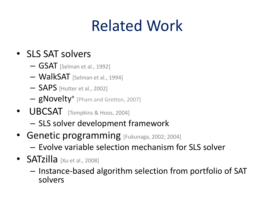# Related Work

#### • SLS SAT solvers

- GSAT [Selman et al., 1992]
- WalkSAT [Selman et al., 1994]
- SAPS [Hutter et al., 2002]
- gNovelty<sup>+</sup> [Pham and Gretton, 2007]
- **UBCSAT** [Tompkins & Hoos, 2004]
	- SLS solver development framework
- Genetic programming [Fukunaga, 2002; 2004]
	- Evolve variable selection mechanism for SLS solver
- SATzilla [Xu et al., 2008]
	- Instance-based algorithm selection from portfolio of SAT solvers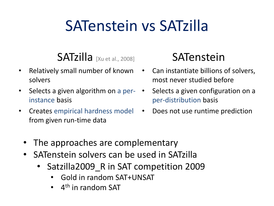# SATenstein vs SATzilla

 $SATzilla$  [Xu et al., 2008]

- Relatively small number of known Can instantiate billions of solvers, solvers
- Selects a given algorithm on a perinstance basis
- Creates empirical hardness model from given run-time data

### SATenstein

- most never studied before
- Selects a given configuration on a per-distribution basis
	- Does not use runtime prediction

- The approaches are complementary
- SATenstein solvers can be used in SATzilla
	- Satzilla2009 R in SAT competition 2009
		- Gold in random SAT+UNSAT
		- 4<sup>th</sup> in random SAT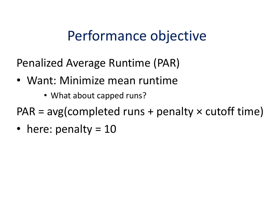### Performance objective

Penalized Average Runtime (PAR)

- Want: Minimize mean runtime
	- What about capped runs?

 $PAR = avg(completed runs + penalty \times cutoff time)$ 

• here: penalty = 10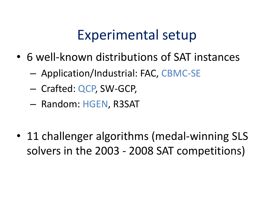### Experimental setup

- 6 well-known distributions of SAT instances
	- Application/Industrial: FAC, CBMC-SE
	- Crafted: QCP, SW-GCP,
	- Random: HGEN, R3SAT
- 11 challenger algorithms (medal-winning SLS solvers in the 2003 - 2008 SAT competitions)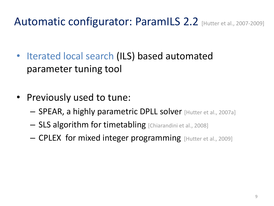### Automatic configurator: ParamILS 2.2 [Hutter et al., 2007-2009]

- Iterated local search (ILS) based automated parameter tuning tool
- Previously used to tune:
	- SPEAR, a highly parametric DPLL solver [Hutter et al., 2007a]
	- SLS algorithm for timetabling [Chiarandini et al., 2008]
	- CPLEX for mixed integer programming [Hutter et al., 2009]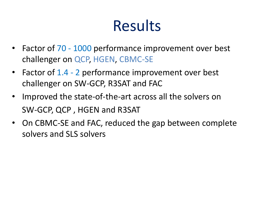## Results

- Factor of 70 1000 performance improvement over best challenger on QCP, HGEN, CBMC-SE
- Factor of 1.4 2 performance improvement over best challenger on SW-GCP, R3SAT and FAC
- Improved the state-of-the-art across all the solvers on SW-GCP, QCP , HGEN and R3SAT
- On CBMC-SE and FAC, reduced the gap between complete solvers and SLS solvers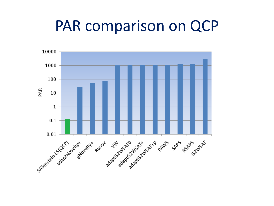## PAR comparison on QCP

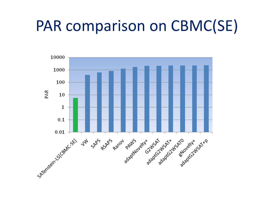## PAR comparison on CBMC(SE)

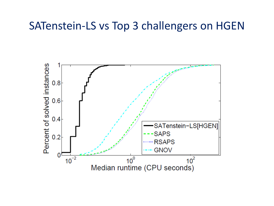#### SATenstein-LS vs Top 3 challengers on HGEN

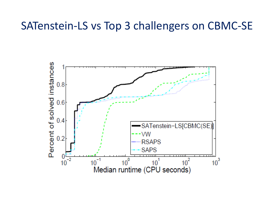### SATenstein-LS vs Top 3 challengers on CBMC-SE

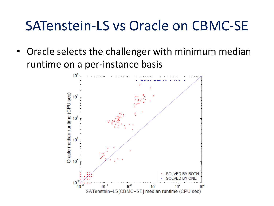### SATenstein-LS vs Oracle on CBMC-SE

• Oracle selects the challenger with minimum median runtime on a per-instance basis

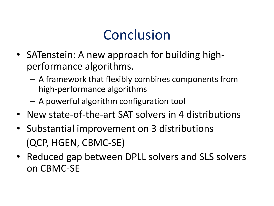### Conclusion

- SATenstein: A new approach for building highperformance algorithms.
	- A framework that flexibly combines components from high-performance algorithms
	- A powerful algorithm configuration tool
- New state-of-the-art SAT solvers in 4 distributions
- Substantial improvement on 3 distributions (QCP, HGEN, CBMC-SE)
- Reduced gap between DPLL solvers and SLS solvers on CBMC-SE